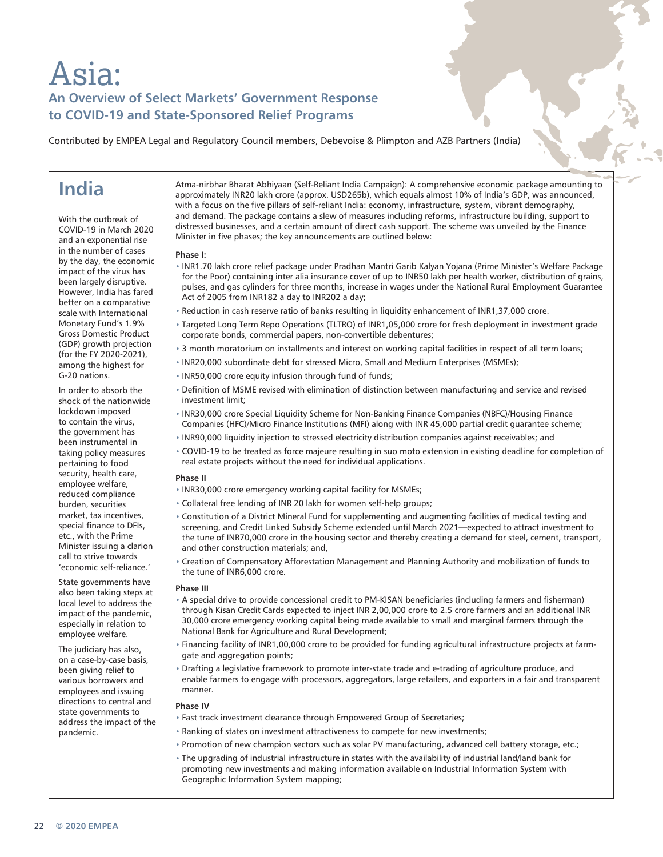# Asia: **An Overview of Select Markets' Government Response to COVID-19 and State-Sponsored Relief Programs**

Contributed by EMPEA Legal and Regulatory Council members, Debevoise & Plimpton and AZB Partners (India)

# **India**

With the outbreak of COVID-19 in March 2020 and an exponential rise in the number of cases by the day, the economic impact of the virus has been largely disruptive. However, India has fared better on a comparative scale with International Monetary Fund's 1.9% Gross Domestic Product (GDP) growth projection (for the FY 2020-2021), among the highest for G-20 nations.

In order to absorb the shock of the nationwide lockdown imposed to contain the virus, the government has been instrumental in taking policy measures pertaining to food security, health care, employee welfare, reduced compliance burden, securities market, tax incentives, special finance to DFIs, etc., with the Prime Minister issuing a clarion call to strive towards 'economic self-reliance.'

State governments have also been taking steps at local level to address the impact of the pandemic, especially in relation to employee welfare.

The judiciary has also, on a case-by-case basis, been giving relief to various borrowers and employees and issuing directions to central and state governments to address the impact of the pandemic.

Atma-nirbhar Bharat Abhiyaan (Self-Reliant India Campaign): A comprehensive economic package amounting to approximately INR20 lakh crore (approx. USD265b), which equals almost 10% of India's GDP, was announced, with a focus on the five pillars of self-reliant India: economy, infrastructure, system, vibrant demography, and demand. The package contains a slew of measures including reforms, infrastructure building, support to distressed businesses, and a certain amount of direct cash support. The scheme was unveiled by the Finance Minister in five phases; the key announcements are outlined below:

#### **Phase I:**

- INR1.70 lakh crore relief package under Pradhan Mantri Garib Kalyan Yojana (Prime Minister's Welfare Package for the Poor) containing inter alia insurance cover of up to INR50 lakh per health worker, distribution of grains, pulses, and gas cylinders for three months, increase in wages under the National Rural Employment Guarantee Act of 2005 from INR182 a day to INR202 a day;
- Reduction in cash reserve ratio of banks resulting in liquidity enhancement of INR1,37,000 crore.
- Targeted Long Term Repo Operations (TLTRO) of INR1,05,000 crore for fresh deployment in investment grade corporate bonds, commercial papers, non-convertible debentures;
- 3 month moratorium on installments and interest on working capital facilities in respect of all term loans;
- INR20,000 subordinate debt for stressed Micro, Small and Medium Enterprises (MSMEs);
- INR50,000 crore equity infusion through fund of funds;
- Definition of MSME revised with elimination of distinction between manufacturing and service and revised investment limit;
- INR30,000 crore Special Liquidity Scheme for Non-Banking Finance Companies (NBFC)/Housing Finance Companies (HFC)/Micro Finance Institutions (MFI) along with INR 45,000 partial credit guarantee scheme;
- INR90,000 liquidity injection to stressed electricity distribution companies against receivables; and
- COVID-19 to be treated as force majeure resulting in suo moto extension in existing deadline for completion of real estate projects without the need for individual applications.

#### **Phase II**

- INR30,000 crore emergency working capital facility for MSMEs;
- Collateral free lending of INR 20 lakh for women self-help groups;
- Constitution of a District Mineral Fund for supplementing and augmenting facilities of medical testing and screening, and Credit Linked Subsidy Scheme extended until March 2021—expected to attract investment to the tune of INR70,000 crore in the housing sector and thereby creating a demand for steel, cement, transport, and other construction materials; and,
- Creation of Compensatory Afforestation Management and Planning Authority and mobilization of funds to the tune of INR6,000 crore.

#### **Phase III**

- A special drive to provide concessional credit to PM-KISAN beneficiaries (including farmers and fisherman) through Kisan Credit Cards expected to inject INR 2,00,000 crore to 2.5 crore farmers and an additional INR 30,000 crore emergency working capital being made available to small and marginal farmers through the National Bank for Agriculture and Rural Development;
- Financing facility of INR1,00,000 crore to be provided for funding agricultural infrastructure projects at farmgate and aggregation points;
- Drafting a legislative framework to promote inter-state trade and e-trading of agriculture produce, and enable farmers to engage with processors, aggregators, large retailers, and exporters in a fair and transparent manner.

### **Phase IV**

- Fast track investment clearance through Empowered Group of Secretaries;
- Ranking of states on investment attractiveness to compete for new investments;
- Promotion of new champion sectors such as solar PV manufacturing, advanced cell battery storage, etc.;
	- The upgrading of industrial infrastructure in states with the availability of industrial land/land bank for promoting new investments and making information available on Industrial Information System with Geographic Information System mapping;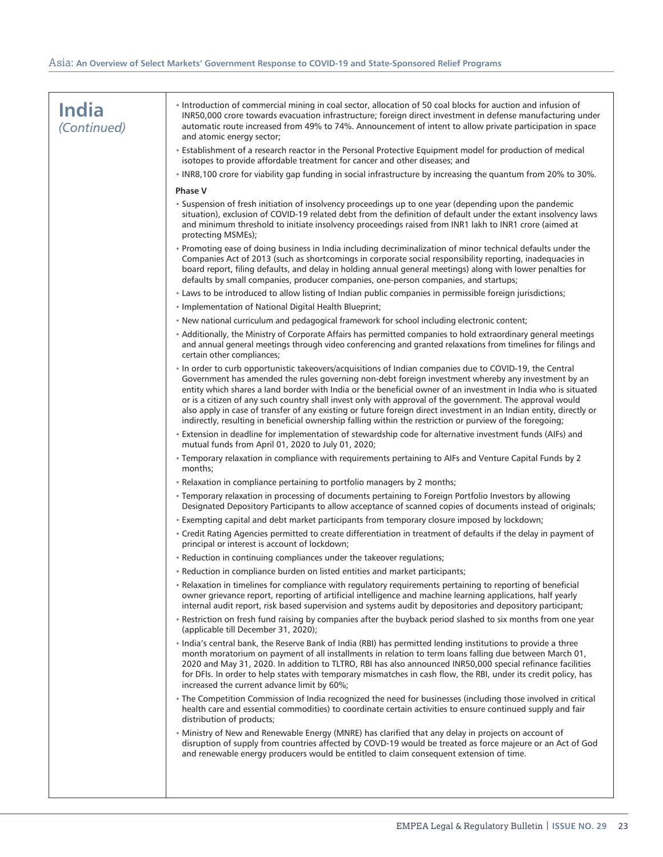| <b>India</b><br>(Continued) | · Introduction of commercial mining in coal sector, allocation of 50 coal blocks for auction and infusion of<br>INR50,000 crore towards evacuation infrastructure; foreign direct investment in defense manufacturing under<br>automatic route increased from 49% to 74%. Announcement of intent to allow private participation in space<br>and atomic energy sector;                                                                                                                                                                                                                                                                                                            |
|-----------------------------|----------------------------------------------------------------------------------------------------------------------------------------------------------------------------------------------------------------------------------------------------------------------------------------------------------------------------------------------------------------------------------------------------------------------------------------------------------------------------------------------------------------------------------------------------------------------------------------------------------------------------------------------------------------------------------|
|                             | • Establishment of a research reactor in the Personal Protective Equipment model for production of medical<br>isotopes to provide affordable treatment for cancer and other diseases; and                                                                                                                                                                                                                                                                                                                                                                                                                                                                                        |
|                             | . INR8,100 crore for viability gap funding in social infrastructure by increasing the quantum from 20% to 30%.                                                                                                                                                                                                                                                                                                                                                                                                                                                                                                                                                                   |
|                             | <b>Phase V</b>                                                                                                                                                                                                                                                                                                                                                                                                                                                                                                                                                                                                                                                                   |
|                             | • Suspension of fresh initiation of insolvency proceedings up to one year (depending upon the pandemic<br>situation), exclusion of COVID-19 related debt from the definition of default under the extant insolvency laws<br>and minimum threshold to initiate insolvency proceedings raised from INR1 lakh to INR1 crore (aimed at<br>protecting MSMEs);                                                                                                                                                                                                                                                                                                                         |
|                             | . Promoting ease of doing business in India including decriminalization of minor technical defaults under the<br>Companies Act of 2013 (such as shortcomings in corporate social responsibility reporting, inadequacies in<br>board report, filing defaults, and delay in holding annual general meetings) along with lower penalties for<br>defaults by small companies, producer companies, one-person companies, and startups;                                                                                                                                                                                                                                                |
|                             | . Laws to be introduced to allow listing of Indian public companies in permissible foreign jurisdictions;                                                                                                                                                                                                                                                                                                                                                                                                                                                                                                                                                                        |
|                             | • Implementation of National Digital Health Blueprint;                                                                                                                                                                                                                                                                                                                                                                                                                                                                                                                                                                                                                           |
|                             | . New national curriculum and pedagogical framework for school including electronic content;                                                                                                                                                                                                                                                                                                                                                                                                                                                                                                                                                                                     |
|                             | • Additionally, the Ministry of Corporate Affairs has permitted companies to hold extraordinary general meetings<br>and annual general meetings through video conferencing and granted relaxations from timelines for filings and<br>certain other compliances;                                                                                                                                                                                                                                                                                                                                                                                                                  |
|                             | In order to curb opportunistic takeovers/acquisitions of Indian companies due to COVID-19, the Central<br>Government has amended the rules governing non-debt foreign investment whereby any investment by an<br>entity which shares a land border with India or the beneficial owner of an investment in India who is situated<br>or is a citizen of any such country shall invest only with approval of the government. The approval would<br>also apply in case of transfer of any existing or future foreign direct investment in an Indian entity, directly or<br>indirectly, resulting in beneficial ownership falling within the restriction or purview of the foregoing; |
|                             | . Extension in deadline for implementation of stewardship code for alternative investment funds (AIFs) and<br>mutual funds from April 01, 2020 to July 01, 2020;                                                                                                                                                                                                                                                                                                                                                                                                                                                                                                                 |
|                             | * Temporary relaxation in compliance with requirements pertaining to AIFs and Venture Capital Funds by 2<br>months;                                                                                                                                                                                                                                                                                                                                                                                                                                                                                                                                                              |
|                             | • Relaxation in compliance pertaining to portfolio managers by 2 months;                                                                                                                                                                                                                                                                                                                                                                                                                                                                                                                                                                                                         |
|                             | . Temporary relaxation in processing of documents pertaining to Foreign Portfolio Investors by allowing<br>Designated Depository Participants to allow acceptance of scanned copies of documents instead of originals;                                                                                                                                                                                                                                                                                                                                                                                                                                                           |
|                             | . Exempting capital and debt market participants from temporary closure imposed by lockdown;                                                                                                                                                                                                                                                                                                                                                                                                                                                                                                                                                                                     |
|                             | • Credit Rating Agencies permitted to create differentiation in treatment of defaults if the delay in payment of<br>principal or interest is account of lockdown;                                                                                                                                                                                                                                                                                                                                                                                                                                                                                                                |
|                             | • Reduction in continuing compliances under the takeover regulations;                                                                                                                                                                                                                                                                                                                                                                                                                                                                                                                                                                                                            |
|                             | · Reduction in compliance burden on listed entities and market participants;                                                                                                                                                                                                                                                                                                                                                                                                                                                                                                                                                                                                     |
|                             | • Relaxation in timelines for compliance with regulatory requirements pertaining to reporting of beneficial<br>owner grievance report, reporting of artificial intelligence and machine learning applications, half yearly<br>internal audit report, risk based supervision and systems audit by depositories and depository participant;                                                                                                                                                                                                                                                                                                                                        |
|                             | • Restriction on fresh fund raising by companies after the buyback period slashed to six months from one year<br>(applicable till December 31, 2020);                                                                                                                                                                                                                                                                                                                                                                                                                                                                                                                            |
|                             | . India's central bank, the Reserve Bank of India (RBI) has permitted lending institutions to provide a three<br>month moratorium on payment of all installments in relation to term loans falling due between March 01,<br>2020 and May 31, 2020. In addition to TLTRO, RBI has also announced INR50,000 special refinance facilities<br>for DFIs. In order to help states with temporary mismatches in cash flow, the RBI, under its credit policy, has<br>increased the current advance limit by 60%;                                                                                                                                                                         |
|                             | . The Competition Commission of India recognized the need for businesses (including those involved in critical<br>health care and essential commodities) to coordinate certain activities to ensure continued supply and fair<br>distribution of products;                                                                                                                                                                                                                                                                                                                                                                                                                       |
|                             | . Ministry of New and Renewable Energy (MNRE) has clarified that any delay in projects on account of<br>disruption of supply from countries affected by COVD-19 would be treated as force majeure or an Act of God<br>and renewable energy producers would be entitled to claim consequent extension of time.                                                                                                                                                                                                                                                                                                                                                                    |
|                             |                                                                                                                                                                                                                                                                                                                                                                                                                                                                                                                                                                                                                                                                                  |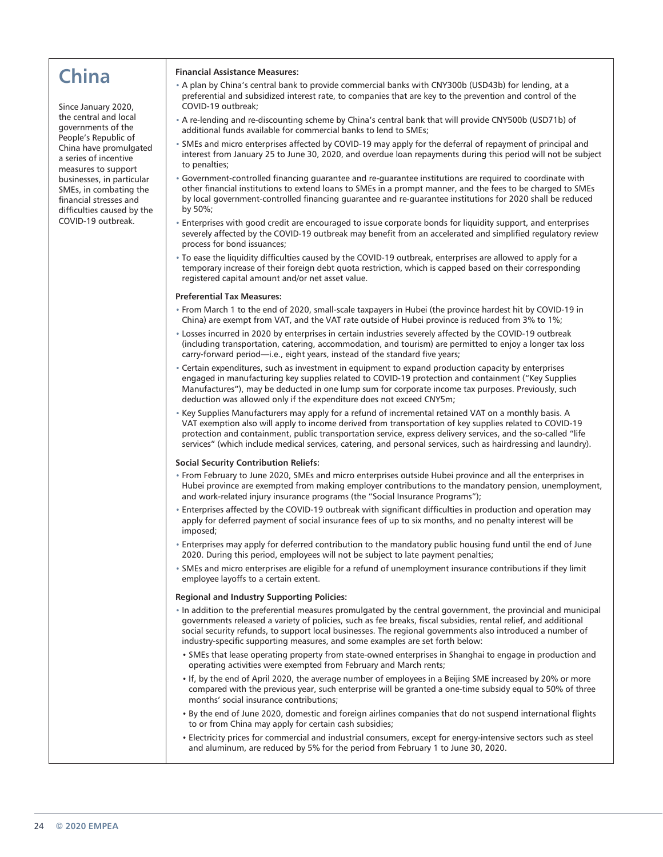# **China**

Since January 2020, the central and local governments of the People's Republic of China have promulgated a series of incentive measures to support businesses, in particular SMEs, in combating the financial stresses and difficulties caused by the COVID-19 outbreak.

## **Financial Assistance Measures:**

- A plan by China's central bank to provide commercial banks with CNY300b (USD43b) for lending, at a preferential and subsidized interest rate, to companies that are key to the prevention and control of the COVID-19 outbreak;
- A re-lending and re-discounting scheme by China's central bank that will provide CNY500b (USD71b) of additional funds available for commercial banks to lend to SMEs;
- SMEs and micro enterprises affected by COVID-19 may apply for the deferral of repayment of principal and interest from January 25 to June 30, 2020, and overdue loan repayments during this period will not be subject to penalties;
- Government-controlled financing guarantee and re-guarantee institutions are required to coordinate with other financial institutions to extend loans to SMEs in a prompt manner, and the fees to be charged to SMEs by local government-controlled financing guarantee and re-guarantee institutions for 2020 shall be reduced by 50%;
- Enterprises with good credit are encouraged to issue corporate bonds for liquidity support, and enterprises severely affected by the COVID-19 outbreak may benefit from an accelerated and simplified regulatory review process for bond issuances;
- To ease the liquidity difficulties caused by the COVID-19 outbreak, enterprises are allowed to apply for a temporary increase of their foreign debt quota restriction, which is capped based on their corresponding registered capital amount and/or net asset value.

## **Preferential Tax Measures:**

- From March 1 to the end of 2020, small-scale taxpayers in Hubei (the province hardest hit by COVID-19 in China) are exempt from VAT, and the VAT rate outside of Hubei province is reduced from 3% to 1%;
- Losses incurred in 2020 by enterprises in certain industries severely affected by the COVID-19 outbreak (including transportation, catering, accommodation, and tourism) are permitted to enjoy a longer tax loss carry-forward period—i.e., eight years, instead of the standard five years;
- Certain expenditures, such as investment in equipment to expand production capacity by enterprises engaged in manufacturing key supplies related to COVID-19 protection and containment ("Key Supplies Manufactures"), may be deducted in one lump sum for corporate income tax purposes. Previously, such deduction was allowed only if the expenditure does not exceed CNY5m;
- Key Supplies Manufacturers may apply for a refund of incremental retained VAT on a monthly basis. A VAT exemption also will apply to income derived from transportation of key supplies related to COVID-19 protection and containment, public transportation service, express delivery services, and the so-called "life services" (which include medical services, catering, and personal services, such as hairdressing and laundry).

### **Social Security Contribution Reliefs:**

- From February to June 2020, SMEs and micro enterprises outside Hubei province and all the enterprises in Hubei province are exempted from making employer contributions to the mandatory pension, unemployment, and work-related injury insurance programs (the "Social Insurance Programs");
- Enterprises affected by the COVID-19 outbreak with significant difficulties in production and operation may apply for deferred payment of social insurance fees of up to six months, and no penalty interest will be imposed;
- Enterprises may apply for deferred contribution to the mandatory public housing fund until the end of June 2020. During this period, employees will not be subject to late payment penalties;
- SMEs and micro enterprises are eligible for a refund of unemployment insurance contributions if they limit employee layoffs to a certain extent.

### **Regional and Industry Supporting Policies:**

- In addition to the preferential measures promulgated by the central government, the provincial and municipal governments released a variety of policies, such as fee breaks, fiscal subsidies, rental relief, and additional social security refunds, to support local businesses. The regional governments also introduced a number of industry-specific supporting measures, and some examples are set forth below:
- SMEs that lease operating property from state-owned enterprises in Shanghai to engage in production and operating activities were exempted from February and March rents;
- If, by the end of April 2020, the average number of employees in a Beijing SME increased by 20% or more compared with the previous year, such enterprise will be granted a one-time subsidy equal to 50% of three months' social insurance contributions;
- By the end of June 2020, domestic and foreign airlines companies that do not suspend international flights to or from China may apply for certain cash subsidies;
- Electricity prices for commercial and industrial consumers, except for energy-intensive sectors such as steel and aluminum, are reduced by 5% for the period from February 1 to June 30, 2020.